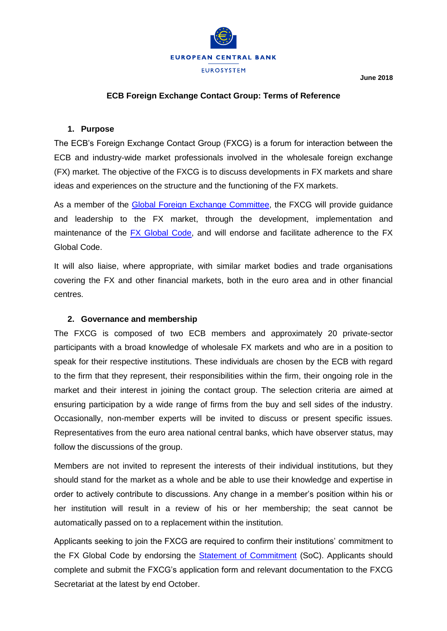

**June 2018**

## **ECB Foreign Exchange Contact Group: Terms of Reference**

## **1. Purpose**

The ECB's Foreign Exchange Contact Group (FXCG) is a forum for interaction between the ECB and industry-wide market professionals involved in the wholesale foreign exchange (FX) market. The objective of the FXCG is to discuss developments in FX markets and share ideas and experiences on the structure and the functioning of the FX markets.

As a member of the [Global Foreign Exchange Committee,](https://www.globalfxc.org/) the FXCG will provide guidance and leadership to the FX market, through the development, implementation and maintenance of the [FX Global Code,](https://www.globalfxc.org/docs/fx_global.pdf) and will endorse and facilitate adherence to the FX Global Code.

It will also liaise, where appropriate, with similar market bodies and trade organisations covering the FX and other financial markets, both in the euro area and in other financial centres.

## **2. Governance and membership**

The FXCG is composed of two ECB members and approximately 20 private-sector participants with a broad knowledge of wholesale FX markets and who are in a position to speak for their respective institutions. These individuals are chosen by the ECB with regard to the firm that they represent, their responsibilities within the firm, their ongoing role in the market and their interest in joining the contact group. The selection criteria are aimed at ensuring participation by a wide range of firms from the buy and sell sides of the industry. Occasionally, non-member experts will be invited to discuss or present specific issues. Representatives from the euro area national central banks, which have observer status, may follow the discussions of the group.

Members are not invited to represent the interests of their individual institutions, but they should stand for the market as a whole and be able to use their knowledge and expertise in order to actively contribute to discussions. Any change in a member's position within his or her institution will result in a review of his or her membership; the seat cannot be automatically passed on to a replacement within the institution.

Applicants seeking to join the FXCG are required to confirm their institutions' commitment to the FX Global Code by endorsing the [Statement of Commitment](https://www.globalfxc.org/docs/statement_of_commitment.pdf) (SoC). Applicants should complete and submit the FXCG's application form and relevant documentation to the FXCG Secretariat at the latest by end October.